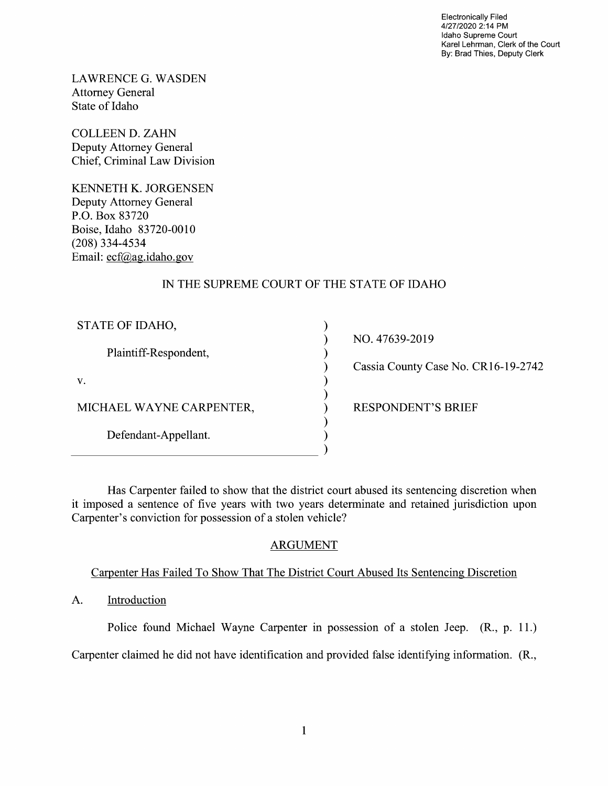Electronically Filed 4/27/2020 2:14 PM Idaho Supreme Court Karel Lehrman, Clerk of the Court By: Brad Thies, Deputy Clerk

LAWRENCE G.WASDEN Attorney General State 0f Idaho

COLLEEN D. ZAHN Deputy Attorney General Chief, Criminal Law Division

KENNETH K. JORGENSEN Deputy Attorney General P.O. BOX 83720 Boise, Idaho 83720-00 (208) 334-4534 Email: ecf@ag.idaho.gov

# IN THE SUPREME COURT OF THE STATE OF IDAHO

| STATE OF IDAHO,          |
|--------------------------|
| Plaintiff-Respondent,    |
| V.                       |
| MICHAEL WAYNE CARPENTER, |
| Defendant-Appellant.     |
|                          |

NO. 47639-2019

Cassia County Case N0. CR16-19-2742

) RESPONDENT'S BRIEF

Has Carpenter failed to show that the district court abused its sentencing discretion when it imposed a sentence of five years with two years determinate and retained jurisdiction upon Carpenter's conviction for possession of a stolen vehicle?

vvvvvvvvvv

 $\mathcal{E}$  $\mathcal{E}$  $\mathcal{E}$ ſ  $\mathcal{E}$ 

# ARGUMENT

# Carpenter Has Failed To Show That The District Court Abused Its Sentencing Discretion

A. Introduction

Police found Michael Wayne Carpenter in possession of a stolen Jeep. (R., p. 11.)

Carpenter claimed he did not have identification and provided false identifying information. (R.,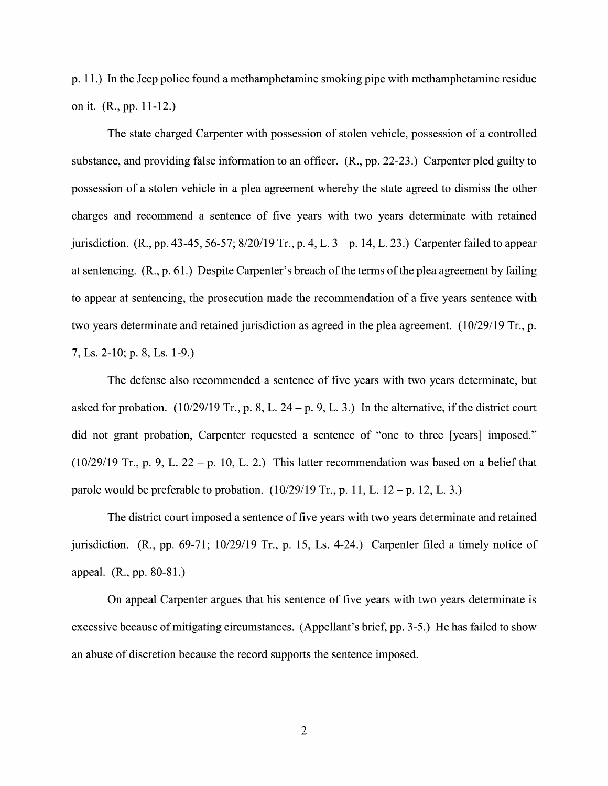p. 11.) In the Jeep police found a methamphetamine smoking pipe with methamphetamine residue 0n it. (R., pp. 11-12.)

The state charged Carpenter with possession of stolen vehicle, possession of a controlled substance, and providing false information to an officer.  $(R., pp. 22-23.)$  Carpenter pled guilty to possession of a stolen vehicle in a plea agreement whereby the state agreed to dismiss the other charges and recommend a sentence of five years with two years determinate with retained jurisdiction. (R., pp. 43-45, 56-57; 8/20/19 Tr., p. 4, L.  $3-p$ . 14, L. 23.) Carpenter failed to appear at sentencing.  $(R., p. 61.)$  Despite Carpenter's breach of the terms of the plea agreement by failing to appear at sentencing, the prosecution made the recommendation of a five years sentence with two years determinate and retained jurisdiction as agreed in the plea agreement.  $(10/29/19 \text{ Tr.}, \text{p.})$ 7, Ls. 2-10; p. 8, Ls. 1-9.)

The defense also recommended a sentence of five years with two years determinate, but asked for probation.  $(10/29/19 \text{ Tr.}, p. 8, L. 24 - p. 9, L. 3.)$  In the alternative, if the district court did not grant probation, Carpenter requested a sentence of "one to three [years] imposed." (10/29/19 Tr., p. 9, L. 22 - p. 10, L. 2.) This latter recommendation was based on a belief that parole would be preferable to probation.  $(10/29/19 \text{ Tr.}, p. 11, L. 12 - p. 12, L. 3.)$ 

The district court imposed a sentence of five years with two years determinate and retained jurisdiction.  $(R., pp. 69-71; 10/29/19$  Tr., p. 15, Ls. 4-24.) Carpenter filed a timely notice of appeal. (R., pp. 80-81.)

On appeal Carpenter argues that his sentence 0f five years With two years determinate is excessive because of mitigating circumstances. (Appellant's brief, pp. 3-5.) He has failed to show an abuse of discretion because the record supports the sentence imposed.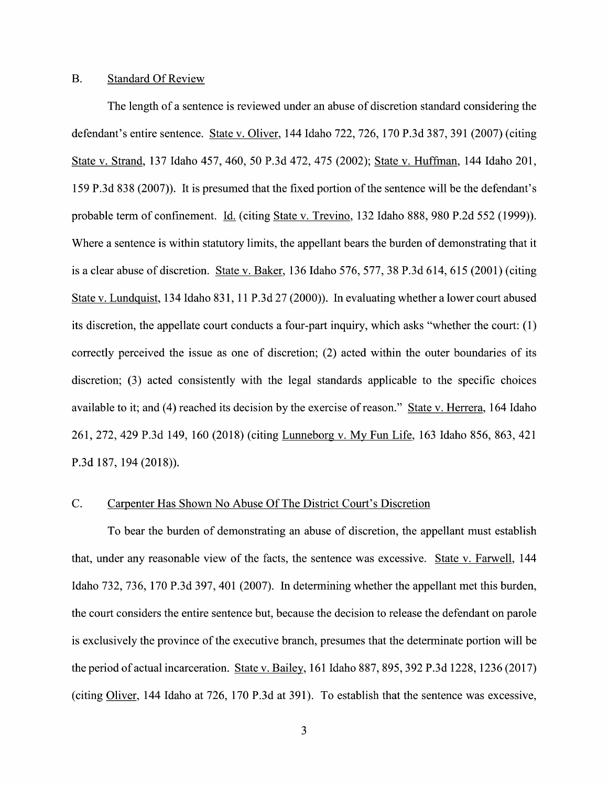#### B. Standard Of Review

The length of a sentence is reviewed under an abuse of discretion standard considering the defendant's entire sentence. State V. Oliver, 144 Idaho 722, 726, 170 P.3d 387, 391 (2007) (citing State V. Strand, <sup>137</sup> Idaho 457, 460, <sup>50</sup> P.3d 472, <sup>475</sup> (2002); State V. Huffman, <sup>144</sup> Idaho 201, 159 P.3d 838 (2007)). It is presumed that the fixed portion of the sentence Will be the defendant's probable term of confinement. Li. (citing State V. Trevino, 132 Idaho 888, 980 P.2d 552 (1999)). Where a sentence is within statutory limits, the appellant bears the burden of demonstrating that it is a clear abuse of discretion. State v. Baker,  $136$  Idaho  $576$ ,  $577$ ,  $38$  P.3d  $614$ ,  $615$  ( $2001$ ) (citing State v. Lundquist, 134 Idaho 831, 11 P.3d 27 (2000)). In evaluating whether a lower court abused its discretion, the appellate court conducts a four-part inquiry, which asks "whether the court:  $(1)$ correctly perceived the issue as one of discretion; (2) acted within the outer boundaries of its discretion; (3) acted consistently with the legal standards applicable to the specific choices available to it; and (4) reached its decision by the exercise of reason." State v. Herrera, 164 Idaho 261, 272, <sup>429</sup> P.3d 149, <sup>160</sup> (2018) (citing Lunneborg V. MV Fun Life, <sup>163</sup> Idaho 856, 863, <sup>421</sup> P.3d 187, 194 (2018)).

### C. Carpenter Has Shown No Abuse Of The District Court's Discretion

To bear the burden of demonstrating an abuse of discretion, the appellant must establish that, under any reasonable view of the facts, the sentence was excessive. State v. Farwell, 144 Idaho 732, 736, 170 P.3d 397, 401 (2007). In determining whether the appellant met this burden, the court considers the entire sentence but, because the decision t0 release the defendant on parole is exclusively the province of the executive branch, presumes that the determinate portion Will be the period of actual incarceration. State v. Bailey, 161 Idaho 887, 895, 392 P.3d 1228, 1236 (2017) (citing Oliver, 144 Idaho at 726, 170 P.3d at 391). To establish that the sentence was excessive,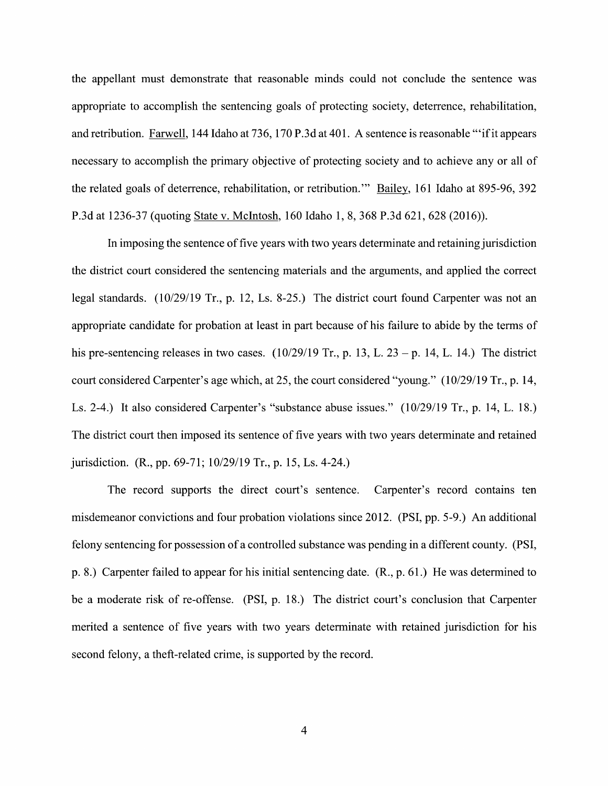the appellant must demonstrate that reasonable minds could not conclude the sentence was appropriate to accomplish the sentencing goals of protecting society, deterrence, rehabilitation, and retribution. <u>Farwell,</u> 144 Idaho at 736, 170 P.3d at 401. A sentence is reasonable "'if it appears necessary to accomplish the primary objective of protecting society and to achieve any or all of the related goals of deterrence, rehabilitation, or retribution." Bailey, 161 Idaho at 895-96, 392 P.3d at 1236-37 (quoting State V. McIntosh, 160 Idaho 1, 8, 368 P.3d 621, 628 (2016)).

In imposing the sentence of five years with two years determinate and retaining jurisdiction the district court considered the sentencing materials and the arguments, and applied the correct legal standards. (10/29/19 Tr., p. 12, Ls. 8-25.) The district court found Carpenter was not an appropriate candidate for probation at least in part because of his failure to abide by the terms of his pre-sentencing releases in two cases.  $(10/29/19 \text{ Tr.}, p. 13, L. 23 - p. 14, L. 14.)$  The district court considered Carpenter's age which, at 25, the court considered "young." (10/29/19 Tr., p. 14, Ls. 2-4.) It also considered Carpenter's "substance abuse issues." (10/29/19 Tr., p. 14, L. 18.) The district court then imposed its sentence of five years with two years determinate and retained jurisdiction. (R., pp. 69-71; 10/29/19 Tr., p. 15, Ls. 4-24.)

The record supports the direct court's sentence. Carpenter's record contains ten misdemeanor convictions and four probation violations since 2012. (PSI, pp. 5-9.) An additional felony sentencing for possession of a controlled substance was pending in a different county. (PSI, p. 8.) Carpenter failed to appear for his initial sentencing date. (R., p. 61.) He was determined to be a moderate risk of re-offense. (PSI, p. 18.) The district court's conclusion that Carpenter merited a sentence of five years with two years determinate with retained jurisdiction for his second felony, a theft-related crime, is supported by the record.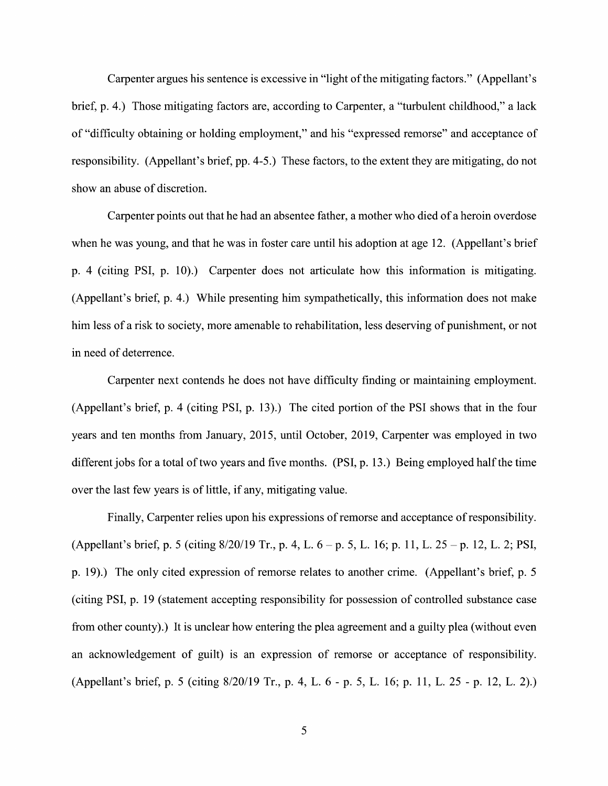Carpenter argues his sentence is excessive in "light of the mitigating factors." (Appellant's brief, p. 4.) Those mitigating factors are, according to Carpenter, a "turbulent childhood," a lack of "difficulty obtaining or holding employment," and his "expressed remorse" and acceptance 0f responsibility. (Appellant's brief, pp. 4-5.) These factors, to the extent they are mitigating, do not show an abuse of discretion.

Carpenter points out that he had an absentee father, a mother who died of a heroin overdose when he was young, and that he was in foster care until his adoption at age 12. (Appellant's brief p. 4 (citing PSI, p. 10).) Carpenter does not articulate how this information is mitigating. (Appellant's brief, p. 4.) While presenting him sympathetically, this information does not make him less of a risk to society, more amenable to rehabilitation, less deserving of punishment, or not in need 0f deterrence.

Carpenter next contends he does not have difficulty finding or maintaining employment. (Appellant's brief, p. 4 (citing PSI, p. 13).) The cited portion of the PSI shows that in the four years and ten months from January, 2015, until October, 2019, Carpenter was employed in two different jobs for a total of two years and five months. (PSI, p. 13.) Being employed half the time over the last few years is of little, if any, mitigating value.

Finally, Carpenter relies upon his expressions 0f remorse and acceptance of responsibility. (Appellant's brief, p. 5 (citing  $8/20/19$  Tr., p. 4, L. 6 – p. 5, L. 16; p. 11, L. 25 – p. 12, L. 2; PSI, p. 19).) The only cited expression of remorse relates to another crime. (Appellant's brief, p. 5 (citing PSI, p. 19 (statement accepting responsibility for possession of controlled substance case from other county).) It is unclear how entering the plea agreement and a guilty plea (without even an acknowledgement of guilt) is an expression 0f remorse or acceptance of responsibility. (Appellant's brief, p. 5 (citing  $8/20/19$  Tr., p. 4, L. 6 - p. 5, L. 16; p. 11, L. 25 - p. 12, L. 2).)